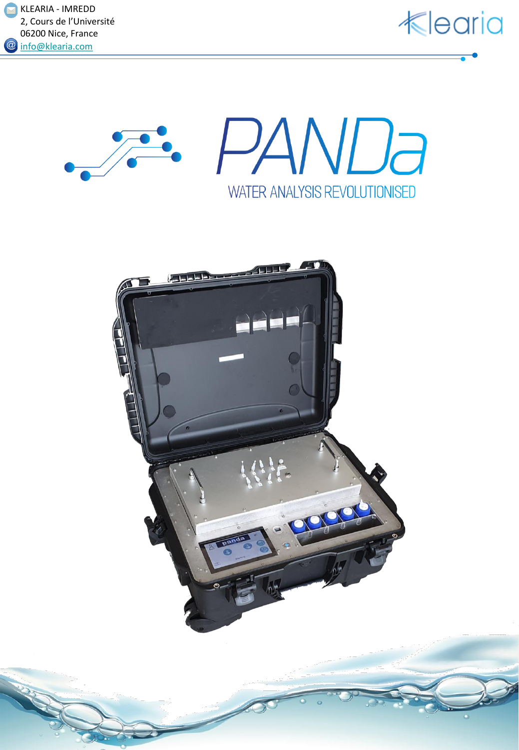







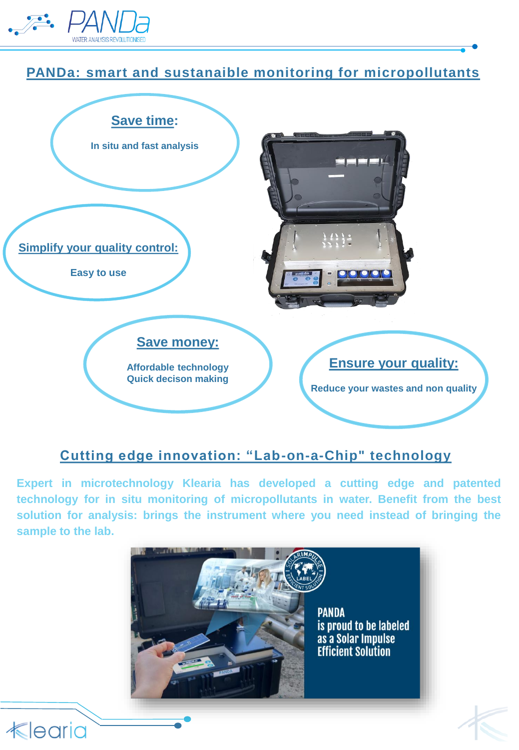

## **PANDa: smart and sustanaible monitoring for micropollutants**



## **Cutting edge innovation: "Lab-on-a-Chip" technology**

**Expert in microtechnology Klearia has developed a cutting edge and patented technology for in situ monitoring of micropollutants in water. Benefit from the best solution for analysis: brings the instrument where you need instead of bringing the sample to the lab.**





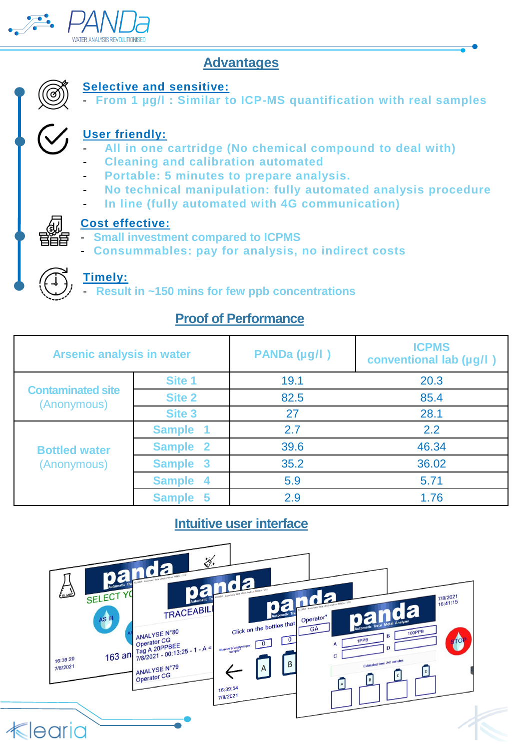

## **Advantages**



### **Selective and sensitive:**

- **From 1 µg/l : Similar to ICP-MS quantification with real samples**

## **User friendly:**

- **All in one cartridge (No chemical compound to deal with)**
- **Cleaning and calibration automated**
- **Portable: 5 minutes to prepare analysis.**
- **No technical manipulation: fully automated analysis procedure**
- **In line (fully automated with 4G communication)**



#### **Cost effective:**

- **Small investment compared to ICPMS**
- **Consummables: pay for analysis, no indirect costs**

#### **Timely:**

- **Result in ~150 mins for few ppb concentrations**

## **Proof of Performance**

| <b>Arsenic analysis in water</b>        |               | PANDa (µg/l) | <b>ICPMS</b><br>conventional lab (µg/l) |
|-----------------------------------------|---------------|--------------|-----------------------------------------|
| <b>Contaminated site</b><br>(Anonymous) | Site 1        | 19.1         | 20.3                                    |
|                                         | <b>Site 2</b> | 82.5         | 85.4                                    |
|                                         | Site 3        | 27           | 28.1                                    |
| <b>Bottled water</b><br>(Anonymous)     | <b>Sample</b> | 2.7          | 2.2                                     |
|                                         | Sample 2      | 39.6         | 46.34                                   |
|                                         | Sample 3      | 35.2         | 36.02                                   |
|                                         | Sample 4      | 5.9          | 5.71                                    |
|                                         | Sample 5      | 2.9          | 1.76                                    |

## **Intuitive user interface**